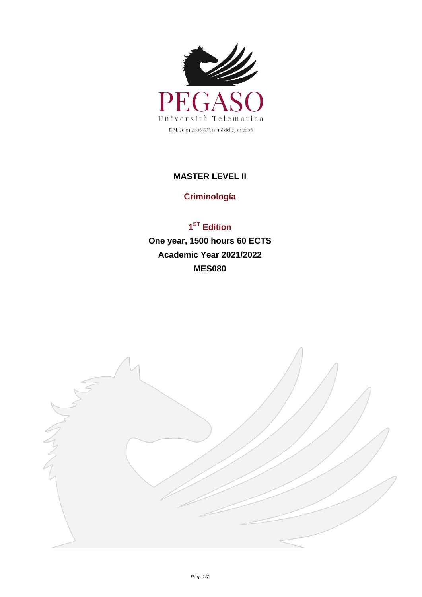

## **MASTER LEVEL II**

## **Criminología**

## **1 ST Edition One year, 1500 hours 60 ECTS Academic Year 2021/2022 MES080**

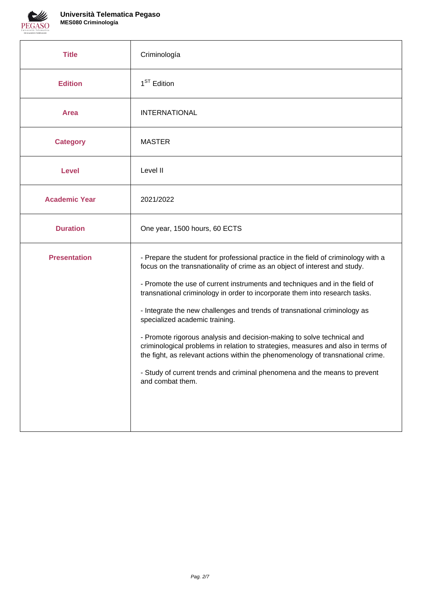

r

| <b>Title</b>         | Criminología                                                                                                                                                                                                                                                                                                                                                                                                                                                                                                                                                                                                                                                                                                                                                                                    |  |  |
|----------------------|-------------------------------------------------------------------------------------------------------------------------------------------------------------------------------------------------------------------------------------------------------------------------------------------------------------------------------------------------------------------------------------------------------------------------------------------------------------------------------------------------------------------------------------------------------------------------------------------------------------------------------------------------------------------------------------------------------------------------------------------------------------------------------------------------|--|--|
| <b>Edition</b>       | 1 <sup>ST</sup> Edition                                                                                                                                                                                                                                                                                                                                                                                                                                                                                                                                                                                                                                                                                                                                                                         |  |  |
| <b>Area</b>          | <b>INTERNATIONAL</b>                                                                                                                                                                                                                                                                                                                                                                                                                                                                                                                                                                                                                                                                                                                                                                            |  |  |
| <b>Category</b>      | <b>MASTER</b>                                                                                                                                                                                                                                                                                                                                                                                                                                                                                                                                                                                                                                                                                                                                                                                   |  |  |
| <b>Level</b>         | Level II                                                                                                                                                                                                                                                                                                                                                                                                                                                                                                                                                                                                                                                                                                                                                                                        |  |  |
| <b>Academic Year</b> | 2021/2022                                                                                                                                                                                                                                                                                                                                                                                                                                                                                                                                                                                                                                                                                                                                                                                       |  |  |
| <b>Duration</b>      | One year, 1500 hours, 60 ECTS                                                                                                                                                                                                                                                                                                                                                                                                                                                                                                                                                                                                                                                                                                                                                                   |  |  |
| <b>Presentation</b>  | - Prepare the student for professional practice in the field of criminology with a<br>focus on the transnationality of crime as an object of interest and study.<br>- Promote the use of current instruments and techniques and in the field of<br>transnational criminology in order to incorporate them into research tasks.<br>- Integrate the new challenges and trends of transnational criminology as<br>specialized academic training.<br>- Promote rigorous analysis and decision-making to solve technical and<br>criminological problems in relation to strategies, measures and also in terms of<br>the fight, as relevant actions within the phenomenology of transnational crime.<br>- Study of current trends and criminal phenomena and the means to prevent<br>and combat them. |  |  |

٦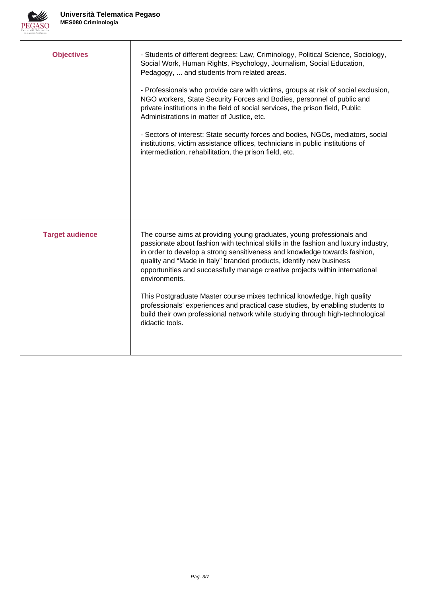

| <b>Objectives</b>      | - Students of different degrees: Law, Criminology, Political Science, Sociology,<br>Social Work, Human Rights, Psychology, Journalism, Social Education,<br>Pedagogy,  and students from related areas.<br>- Professionals who provide care with victims, groups at risk of social exclusion,<br>NGO workers, State Security Forces and Bodies, personnel of public and<br>private institutions in the field of social services, the prison field, Public<br>Administrations in matter of Justice, etc.<br>- Sectors of interest: State security forces and bodies, NGOs, mediators, social<br>institutions, victim assistance offices, technicians in public institutions of<br>intermediation, rehabilitation, the prison field, etc. |
|------------------------|-----------------------------------------------------------------------------------------------------------------------------------------------------------------------------------------------------------------------------------------------------------------------------------------------------------------------------------------------------------------------------------------------------------------------------------------------------------------------------------------------------------------------------------------------------------------------------------------------------------------------------------------------------------------------------------------------------------------------------------------|
| <b>Target audience</b> | The course aims at providing young graduates, young professionals and<br>passionate about fashion with technical skills in the fashion and luxury industry,<br>in order to develop a strong sensitiveness and knowledge towards fashion,<br>quality and "Made in Italy" branded products, identify new business<br>opportunities and successfully manage creative projects within international<br>environments.<br>This Postgraduate Master course mixes technical knowledge, high quality<br>professionals' experiences and practical case studies, by enabling students to<br>build their own professional network while studying through high-technological<br>didactic tools.                                                      |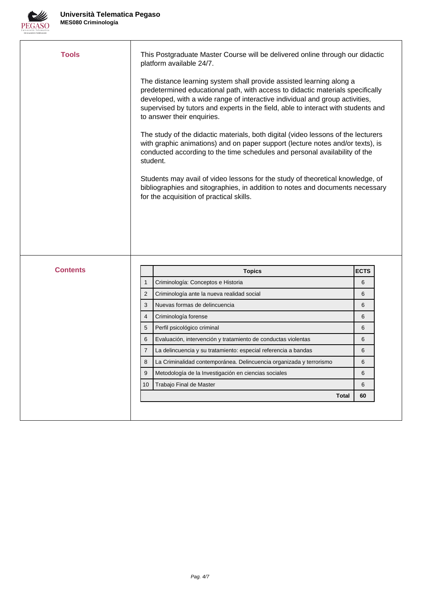

| <b>Tools</b>    |                | This Postgraduate Master Course will be delivered online through our didactic<br>platform available 24/7.                                                                                                                                                                                                                                                 |             |
|-----------------|----------------|-----------------------------------------------------------------------------------------------------------------------------------------------------------------------------------------------------------------------------------------------------------------------------------------------------------------------------------------------------------|-------------|
|                 |                | The distance learning system shall provide assisted learning along a<br>predetermined educational path, with access to didactic materials specifically<br>developed, with a wide range of interactive individual and group activities,<br>supervised by tutors and experts in the field, able to interact with students and<br>to answer their enquiries. |             |
|                 |                | The study of the didactic materials, both digital (video lessons of the lecturers<br>with graphic animations) and on paper support (lecture notes and/or texts), is<br>conducted according to the time schedules and personal availability of the<br>student.                                                                                             |             |
|                 |                | Students may avail of video lessons for the study of theoretical knowledge, of<br>bibliographies and sitographies, in addition to notes and documents necessary<br>for the acquisition of practical skills.                                                                                                                                               |             |
|                 |                |                                                                                                                                                                                                                                                                                                                                                           |             |
|                 |                |                                                                                                                                                                                                                                                                                                                                                           |             |
|                 |                |                                                                                                                                                                                                                                                                                                                                                           |             |
| <b>Contents</b> |                | <b>Topics</b>                                                                                                                                                                                                                                                                                                                                             | <b>ECTS</b> |
|                 | $\mathbf{1}$   | Criminología: Conceptos e Historia                                                                                                                                                                                                                                                                                                                        | 6           |
|                 | $\overline{2}$ | Criminología ante la nueva realidad social                                                                                                                                                                                                                                                                                                                | 6           |
|                 | 3              | Nuevas formas de delincuencia                                                                                                                                                                                                                                                                                                                             | 6           |
|                 | 4              | Criminología forense                                                                                                                                                                                                                                                                                                                                      | 6           |
|                 | 5              | Perfil psicológico criminal                                                                                                                                                                                                                                                                                                                               | 6           |
|                 | 6              | Evaluación, intervención y tratamiento de conductas violentas                                                                                                                                                                                                                                                                                             | 6           |
|                 | $\overline{7}$ | La delincuencia y su tratamiento: especial referencia a bandas                                                                                                                                                                                                                                                                                            | 6           |
|                 | $\bf8$         | La Criminalidad contemporánea. Delincuencia organizada y terrorismo                                                                                                                                                                                                                                                                                       | $\,$ 6 $\,$ |
|                 | 9              | Metodología de la Investigación en ciencias sociales                                                                                                                                                                                                                                                                                                      | 6           |
|                 | 10             | Trabajo Final de Master                                                                                                                                                                                                                                                                                                                                   | 6           |
|                 |                | <b>Total</b>                                                                                                                                                                                                                                                                                                                                              | 60          |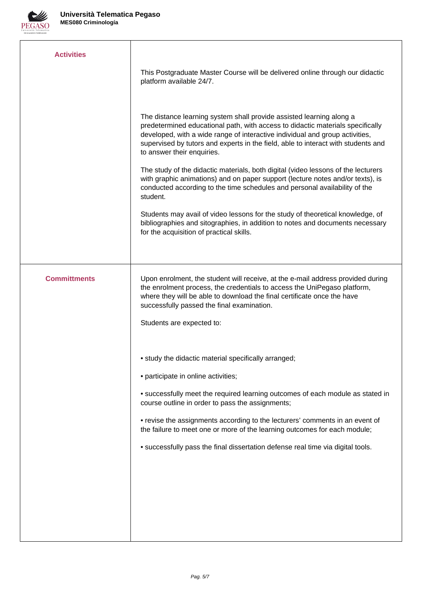

| <b>Activities</b>   |                                                                                                                                                                                                                                                                                                                                                           |
|---------------------|-----------------------------------------------------------------------------------------------------------------------------------------------------------------------------------------------------------------------------------------------------------------------------------------------------------------------------------------------------------|
|                     | This Postgraduate Master Course will be delivered online through our didactic<br>platform available 24/7.                                                                                                                                                                                                                                                 |
|                     | The distance learning system shall provide assisted learning along a<br>predetermined educational path, with access to didactic materials specifically<br>developed, with a wide range of interactive individual and group activities,<br>supervised by tutors and experts in the field, able to interact with students and<br>to answer their enquiries. |
|                     | The study of the didactic materials, both digital (video lessons of the lecturers<br>with graphic animations) and on paper support (lecture notes and/or texts), is<br>conducted according to the time schedules and personal availability of the<br>student.                                                                                             |
|                     | Students may avail of video lessons for the study of theoretical knowledge, of<br>bibliographies and sitographies, in addition to notes and documents necessary<br>for the acquisition of practical skills.                                                                                                                                               |
|                     |                                                                                                                                                                                                                                                                                                                                                           |
| <b>Committments</b> | Upon enrolment, the student will receive, at the e-mail address provided during<br>the enrolment process, the credentials to access the UniPegaso platform,<br>where they will be able to download the final certificate once the have<br>successfully passed the final examination.                                                                      |
|                     | Students are expected to:                                                                                                                                                                                                                                                                                                                                 |
|                     | • study the didactic material specifically arranged;                                                                                                                                                                                                                                                                                                      |
|                     | • participate in online activities;                                                                                                                                                                                                                                                                                                                       |
|                     | • successfully meet the required learning outcomes of each module as stated in<br>course outline in order to pass the assignments;                                                                                                                                                                                                                        |
|                     | • revise the assignments according to the lecturers' comments in an event of<br>the failure to meet one or more of the learning outcomes for each module;                                                                                                                                                                                                 |
|                     | • successfully pass the final dissertation defense real time via digital tools.                                                                                                                                                                                                                                                                           |
|                     |                                                                                                                                                                                                                                                                                                                                                           |
|                     |                                                                                                                                                                                                                                                                                                                                                           |
|                     |                                                                                                                                                                                                                                                                                                                                                           |
|                     |                                                                                                                                                                                                                                                                                                                                                           |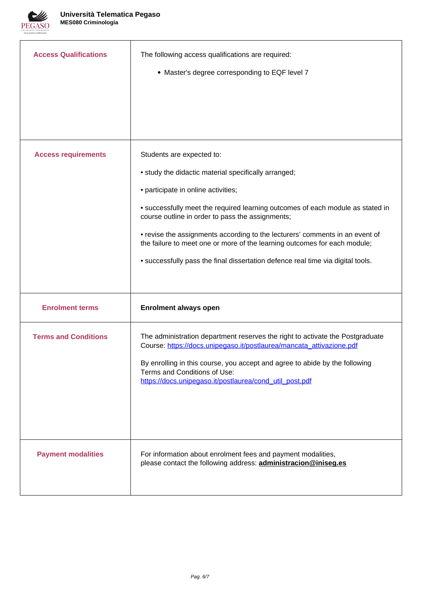

| <b>Access Qualifications</b> | The following access qualifications are required:<br>• Master's degree corresponding to EQF level 7                                                                                                                                                                                                                                                                                                                                                                                                            |
|------------------------------|----------------------------------------------------------------------------------------------------------------------------------------------------------------------------------------------------------------------------------------------------------------------------------------------------------------------------------------------------------------------------------------------------------------------------------------------------------------------------------------------------------------|
| <b>Access requirements</b>   | Students are expected to:<br>• study the didactic material specifically arranged;<br>• participate in online activities;<br>• successfully meet the required learning outcomes of each module as stated in<br>course outline in order to pass the assignments;<br>• revise the assignments according to the lecturers' comments in an event of<br>the failure to meet one or more of the learning outcomes for each module;<br>• successfully pass the final dissertation defence real time via digital tools. |
| <b>Enrolment terms</b>       | <b>Enrolment always open</b>                                                                                                                                                                                                                                                                                                                                                                                                                                                                                   |
| <b>Terms and Conditions</b>  | The administration department reserves the right to activate the Postgraduate<br>Course: https://docs.unipegaso.it/postlaurea/mancata_attivazione.pdf<br>By enrolling in this course, you accept and agree to abide by the following<br>Terms and Conditions of Use:<br>https://docs.unipegaso.it/postlaurea/cond_util_post.pdf                                                                                                                                                                                |
| <b>Payment modalities</b>    | For information about enrolment fees and payment modalities,<br>please contact the following address: <b>administracion@iniseg.es</b>                                                                                                                                                                                                                                                                                                                                                                          |